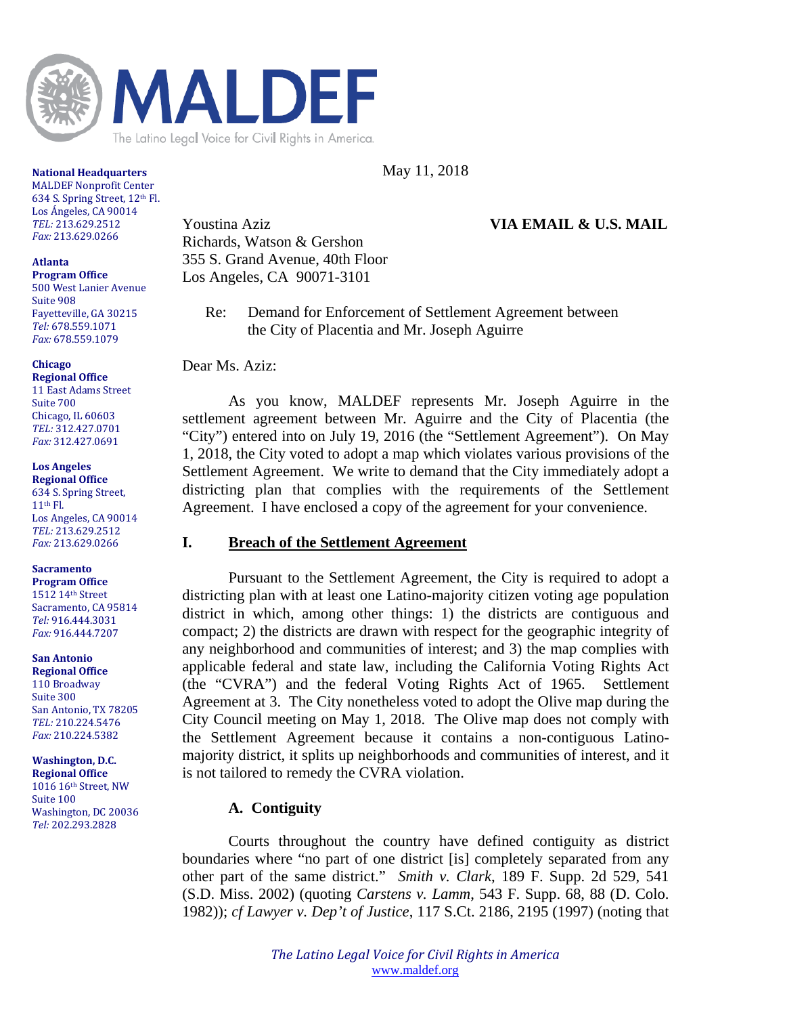

May 11, 2018

#### **National Headquarters**

**MALDEF Nonprofit Center** 634 S. Spring Street, 12<sup>th</sup> Fl. Los Ángeles, CA 90014 *TEL:* 213.629.2512 *Fax:* 213.629.0266 

## **Atlanta**

**Program Office** 500 West Lanier Avenue Suite 908 Fayetteville, GA 30215 *Tel:* 678.559.1071 *Fax:* 678.559.1079 

## **Chicago**

**Regional Office** 11 East Adams Street Suite 700 Chicago, IL 60603 *TEL:* 312.427.0701 *Fax:* 312.427.0691 

**Los Angeles Regional Office**

634 S. Spring Street,  $11<sup>th</sup>$  Fl. Los Angeles, CA 90014 *TEL:* 213.629.2512 *Fax:* 213.629.0266 

## **Sacramento**

**Program Office** 1512 14th Street Sacramento, CA 95814 *Tel:* 916.444.3031 *Fax:* 916.444.7207 

**San Antonio Regional Office** 110 Broadway Suite 300 San Antonio, TX 78205 *TEL:* 210.224.5476 *Fax:* 210.224.5382 

## **Washington, D.C.**

**Regional Office** 1016 16<sup>th</sup> Street, NW Suite 100 Washington, DC 20036 *Tel:* 202.293.2828

Youstina Aziz **VIA EMAIL & U.S. MAIL** Richards, Watson & Gershon 355 S. Grand Avenue, 40th Floor Los Angeles, CA 90071-3101

Re: Demand for Enforcement of Settlement Agreement between the City of Placentia and Mr. Joseph Aguirre

Dear Ms. Aziz:

As you know, MALDEF represents Mr. Joseph Aguirre in the settlement agreement between Mr. Aguirre and the City of Placentia (the "City") entered into on July 19, 2016 (the "Settlement Agreement"). On May 1, 2018, the City voted to adopt a map which violates various provisions of the Settlement Agreement. We write to demand that the City immediately adopt a districting plan that complies with the requirements of the Settlement Agreement. I have enclosed a copy of the agreement for your convenience.

# **I. Breach of the Settlement Agreement**

Pursuant to the Settlement Agreement, the City is required to adopt a districting plan with at least one Latino-majority citizen voting age population district in which, among other things: 1) the districts are contiguous and compact; 2) the districts are drawn with respect for the geographic integrity of any neighborhood and communities of interest; and 3) the map complies with applicable federal and state law, including the California Voting Rights Act (the "CVRA") and the federal Voting Rights Act of 1965. Settlement Agreement at 3. The City nonetheless voted to adopt the Olive map during the City Council meeting on May 1, 2018. The Olive map does not comply with the Settlement Agreement because it contains a non-contiguous Latinomajority district, it splits up neighborhoods and communities of interest, and it is not tailored to remedy the CVRA violation.

# **A. Contiguity**

Courts throughout the country have defined contiguity as district boundaries where "no part of one district [is] completely separated from any other part of the same district." *Smith v. Clark*, 189 F. Supp. 2d 529, 541 (S.D. Miss. 2002) (quoting *Carstens v. Lamm*, 543 F. Supp. 68, 88 (D. Colo. 1982)); *cf Lawyer v. Dep't of Justice*, 117 S.Ct. 2186, 2195 (1997) (noting that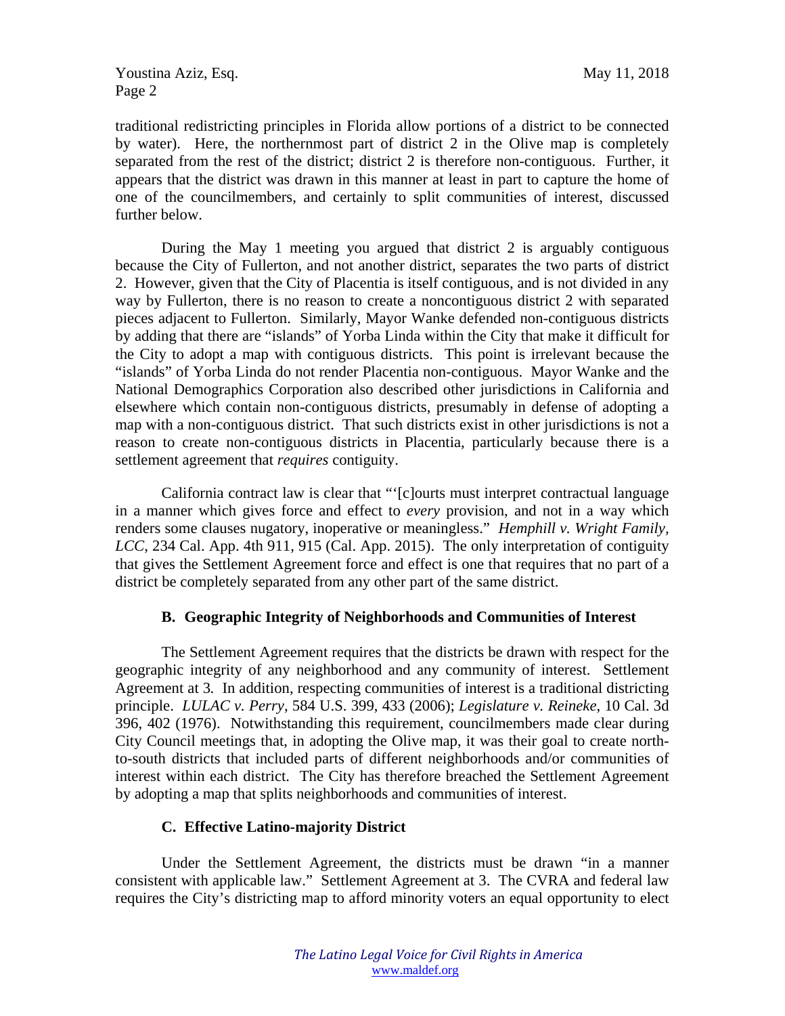Youstina Aziz, Esq. November 2018 Page 2

traditional redistricting principles in Florida allow portions of a district to be connected by water). Here, the northernmost part of district 2 in the Olive map is completely separated from the rest of the district; district 2 is therefore non-contiguous. Further, it appears that the district was drawn in this manner at least in part to capture the home of one of the councilmembers, and certainly to split communities of interest, discussed further below.

During the May 1 meeting you argued that district 2 is arguably contiguous because the City of Fullerton, and not another district, separates the two parts of district 2. However, given that the City of Placentia is itself contiguous, and is not divided in any way by Fullerton, there is no reason to create a noncontiguous district 2 with separated pieces adjacent to Fullerton. Similarly, Mayor Wanke defended non-contiguous districts by adding that there are "islands" of Yorba Linda within the City that make it difficult for the City to adopt a map with contiguous districts. This point is irrelevant because the "islands" of Yorba Linda do not render Placentia non-contiguous. Mayor Wanke and the National Demographics Corporation also described other jurisdictions in California and elsewhere which contain non-contiguous districts, presumably in defense of adopting a map with a non-contiguous district. That such districts exist in other jurisdictions is not a reason to create non-contiguous districts in Placentia, particularly because there is a settlement agreement that *requires* contiguity.

California contract law is clear that "'[c]ourts must interpret contractual language in a manner which gives force and effect to *every* provision, and not in a way which renders some clauses nugatory, inoperative or meaningless." *Hemphill v. Wright Family, LCC*, 234 Cal. App. 4th 911, 915 (Cal. App. 2015). The only interpretation of contiguity that gives the Settlement Agreement force and effect is one that requires that no part of a district be completely separated from any other part of the same district.

## **B. Geographic Integrity of Neighborhoods and Communities of Interest**

The Settlement Agreement requires that the districts be drawn with respect for the geographic integrity of any neighborhood and any community of interest. Settlement Agreement at 3*.* In addition, respecting communities of interest is a traditional districting principle. *LULAC v. Perry*, 584 U.S. 399, 433 (2006); *Legislature v. Reineke*, 10 Cal. 3d 396, 402 (1976). Notwithstanding this requirement, councilmembers made clear during City Council meetings that, in adopting the Olive map, it was their goal to create northto-south districts that included parts of different neighborhoods and/or communities of interest within each district. The City has therefore breached the Settlement Agreement by adopting a map that splits neighborhoods and communities of interest.

## **C. Effective Latino-majority District**

Under the Settlement Agreement, the districts must be drawn "in a manner consistent with applicable law." Settlement Agreement at 3. The CVRA and federal law requires the City's districting map to afford minority voters an equal opportunity to elect